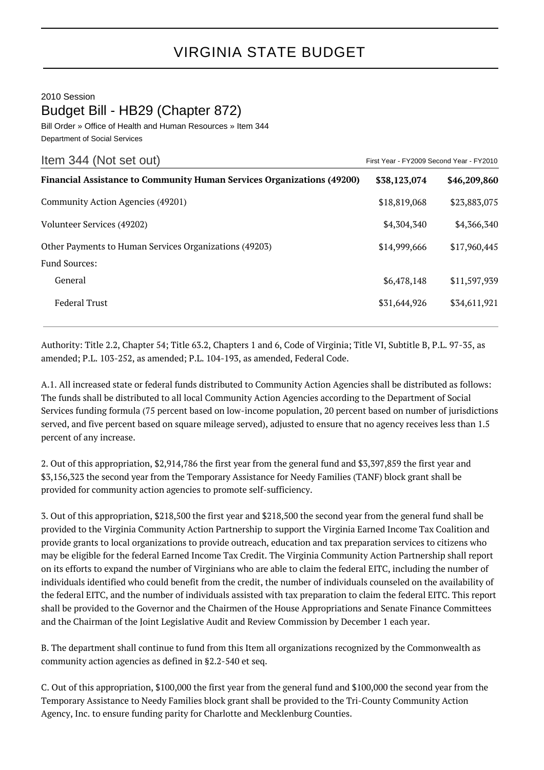## VIRGINIA STATE BUDGET

2010 Session Budget Bill - HB29 (Chapter 872)

Bill Order » Office of Health and Human Resources » Item 344 Department of Social Services

| Item 344 (Not set out)                                                        | First Year - FY2009 Second Year - FY2010 |              |
|-------------------------------------------------------------------------------|------------------------------------------|--------------|
| <b>Financial Assistance to Community Human Services Organizations (49200)</b> | \$38,123,074                             | \$46,209,860 |
| Community Action Agencies (49201)                                             | \$18,819,068                             | \$23,883,075 |
| Volunteer Services (49202)                                                    | \$4,304,340                              | \$4,366,340  |
| Other Payments to Human Services Organizations (49203)                        | \$14,999,666                             | \$17,960,445 |
| <b>Fund Sources:</b>                                                          |                                          |              |
| General                                                                       | \$6,478,148                              | \$11,597,939 |
| <b>Federal Trust</b>                                                          | \$31,644,926                             | \$34,611,921 |

Authority: Title 2.2, Chapter 54; Title 63.2, Chapters 1 and 6, Code of Virginia; Title VI, Subtitle B, P.L. 97-35, as amended; P.L. 103-252, as amended; P.L. 104-193, as amended, Federal Code.

A.1. All increased state or federal funds distributed to Community Action Agencies shall be distributed as follows: The funds shall be distributed to all local Community Action Agencies according to the Department of Social Services funding formula (75 percent based on low-income population, 20 percent based on number of jurisdictions served, and five percent based on square mileage served), adjusted to ensure that no agency receives less than 1.5 percent of any increase.

2. Out of this appropriation, \$2,914,786 the first year from the general fund and \$3,397,859 the first year and \$3,156,323 the second year from the Temporary Assistance for Needy Families (TANF) block grant shall be provided for community action agencies to promote self-sufficiency.

3. Out of this appropriation, \$218,500 the first year and \$218,500 the second year from the general fund shall be provided to the Virginia Community Action Partnership to support the Virginia Earned Income Tax Coalition and provide grants to local organizations to provide outreach, education and tax preparation services to citizens who may be eligible for the federal Earned Income Tax Credit. The Virginia Community Action Partnership shall report on its efforts to expand the number of Virginians who are able to claim the federal EITC, including the number of individuals identified who could benefit from the credit, the number of individuals counseled on the availability of the federal EITC, and the number of individuals assisted with tax preparation to claim the federal EITC. This report shall be provided to the Governor and the Chairmen of the House Appropriations and Senate Finance Committees and the Chairman of the Joint Legislative Audit and Review Commission by December 1 each year.

B. The department shall continue to fund from this Item all organizations recognized by the Commonwealth as community action agencies as defined in §2.2-540 et seq.

C. Out of this appropriation, \$100,000 the first year from the general fund and \$100,000 the second year from the Temporary Assistance to Needy Families block grant shall be provided to the Tri-County Community Action Agency, Inc. to ensure funding parity for Charlotte and Mecklenburg Counties.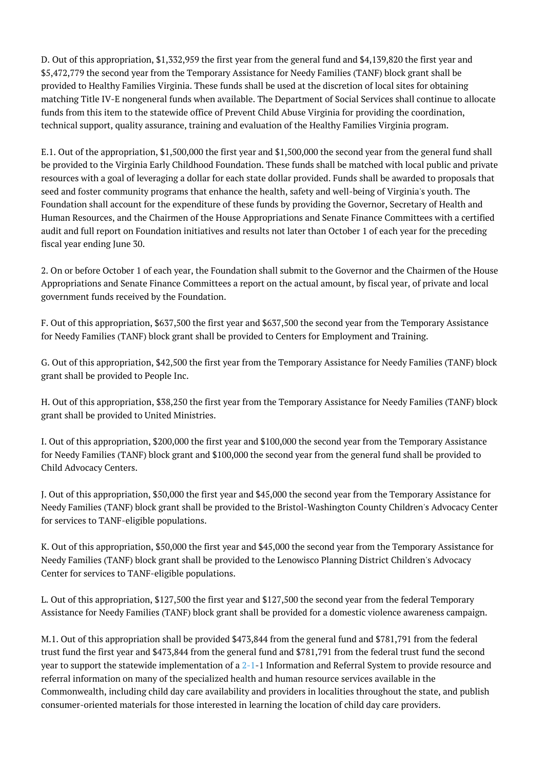D. Out of this appropriation, \$1,332,959 the first year from the general fund and \$4,139,820 the first year and \$5,472,779 the second year from the Temporary Assistance for Needy Families (TANF) block grant shall be provided to Healthy Families Virginia. These funds shall be used at the discretion of local sites for obtaining matching Title IV-E nongeneral funds when available. The Department of Social Services shall continue to allocate funds from this item to the statewide office of Prevent Child Abuse Virginia for providing the coordination, technical support, quality assurance, training and evaluation of the Healthy Families Virginia program.

E.1. Out of the appropriation, \$1,500,000 the first year and \$1,500,000 the second year from the general fund shall be provided to the Virginia Early Childhood Foundation. These funds shall be matched with local public and private resources with a goal of leveraging a dollar for each state dollar provided. Funds shall be awarded to proposals that seed and foster community programs that enhance the health, safety and well-being of Virginia's youth. The Foundation shall account for the expenditure of these funds by providing the Governor, Secretary of Health and Human Resources, and the Chairmen of the House Appropriations and Senate Finance Committees with a certified audit and full report on Foundation initiatives and results not later than October 1 of each year for the preceding fiscal year ending June 30.

2. On or before October 1 of each year, the Foundation shall submit to the Governor and the Chairmen of the House Appropriations and Senate Finance Committees a report on the actual amount, by fiscal year, of private and local government funds received by the Foundation.

F. Out of this appropriation, \$637,500 the first year and \$637,500 the second year from the Temporary Assistance for Needy Families (TANF) block grant shall be provided to Centers for Employment and Training.

G. Out of this appropriation, \$42,500 the first year from the Temporary Assistance for Needy Families (TANF) block grant shall be provided to People Inc.

H. Out of this appropriation, \$38,250 the first year from the Temporary Assistance for Needy Families (TANF) block grant shall be provided to United Ministries.

I. Out of this appropriation, \$200,000 the first year and \$100,000 the second year from the Temporary Assistance for Needy Families (TANF) block grant and \$100,000 the second year from the general fund shall be provided to Child Advocacy Centers.

J. Out of this appropriation, \$50,000 the first year and \$45,000 the second year from the Temporary Assistance for Needy Families (TANF) block grant shall be provided to the Bristol-Washington County Children's Advocacy Center for services to TANF-eligible populations.

K. Out of this appropriation, \$50,000 the first year and \$45,000 the second year from the Temporary Assistance for Needy Families (TANF) block grant shall be provided to the Lenowisco Planning District Children's Advocacy Center for services to TANF-eligible populations.

L. Out of this appropriation, \$127,500 the first year and \$127,500 the second year from the federal Temporary Assistance for Needy Families (TANF) block grant shall be provided for a domestic violence awareness campaign.

M.1. Out of this appropriation shall be provided \$473,844 from the general fund and \$781,791 from the federal trust fund the first year and \$473,844 from the general fund and \$781,791 from the federal trust fund the second year to support the statewide implementation of a [2-1](http://law.lis.virginia.gov/vacode/2-1/)-1 Information and Referral System to provide resource and referral information on many of the specialized health and human resource services available in the Commonwealth, including child day care availability and providers in localities throughout the state, and publish consumer-oriented materials for those interested in learning the location of child day care providers.